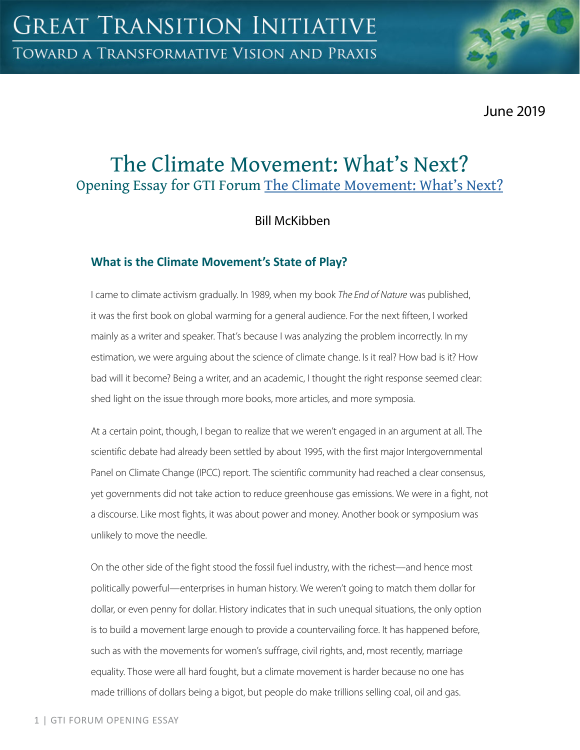June 2019

# The Climate Movement: What's Next? Opening Essay for GTI Forum The Climate Movement: What's Next?

Bill McKibben

## **What is the Climate Movement's State of Play?**

I came to climate activism gradually. In 1989, when my book *The End of Nature* was published, it was the first book on global warming for a general audience. For the next fifteen, I worked mainly as a writer and speaker. That's because I was analyzing the problem incorrectly. In my estimation, we were arguing about the science of climate change. Is it real? How bad is it? How bad will it become? Being a writer, and an academic, I thought the right response seemed clear: shed light on the issue through more books, more articles, and more symposia.

At a certain point, though, I began to realize that we weren't engaged in an argument at all. The scientific debate had already been settled by about 1995, with the first major Intergovernmental Panel on Climate Change (IPCC) report. The scientific community had reached a clear consensus, yet governments did not take action to reduce greenhouse gas emissions. We were in a fight, not a discourse. Like most fights, it was about power and money. Another book or symposium was unlikely to move the needle.

On the other side of the fight stood the fossil fuel industry, with the richest—and hence most politically powerful—enterprises in human history. We weren't going to match them dollar for dollar, or even penny for dollar. History indicates that in such unequal situations, the only option is to build a movement large enough to provide a countervailing force. It has happened before, such as with the movements for women's suffrage, civil rights, and, most recently, marriage equality. Those were all hard fought, but a climate movement is harder because no one has made trillions of dollars being a bigot, but people do make trillions selling coal, oil and gas.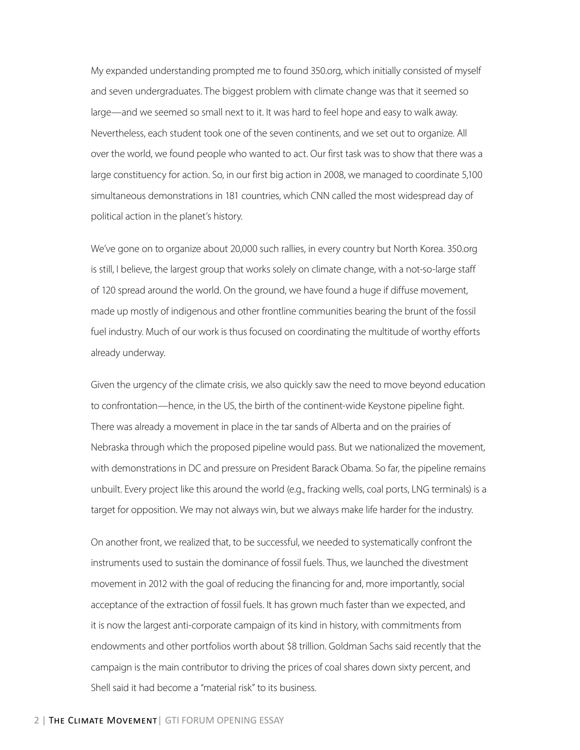My expanded understanding prompted me to found 350.org, which initially consisted of myself and seven undergraduates. The biggest problem with climate change was that it seemed so large—and we seemed so small next to it. It was hard to feel hope and easy to walk away. Nevertheless, each student took one of the seven continents, and we set out to organize. All over the world, we found people who wanted to act. Our first task was to show that there was a large constituency for action. So, in our first big action in 2008, we managed to coordinate 5,100 simultaneous demonstrations in 181 countries, which CNN called the most widespread day of political action in the planet's history.

We've gone on to organize about 20,000 such rallies, in every country but North Korea. 350.org is still, I believe, the largest group that works solely on climate change, with a not-so-large staff of 120 spread around the world. On the ground, we have found a huge if diffuse movement, made up mostly of indigenous and other frontline communities bearing the brunt of the fossil fuel industry. Much of our work is thus focused on coordinating the multitude of worthy efforts already underway.

Given the urgency of the climate crisis, we also quickly saw the need to move beyond education to confrontation—hence, in the US, the birth of the continent-wide Keystone pipeline fight. There was already a movement in place in the tar sands of Alberta and on the prairies of Nebraska through which the proposed pipeline would pass. But we nationalized the movement, with demonstrations in DC and pressure on President Barack Obama. So far, the pipeline remains unbuilt. Every project like this around the world (e.g., fracking wells, coal ports, LNG terminals) is a target for opposition. We may not always win, but we always make life harder for the industry.

On another front, we realized that, to be successful, we needed to systematically confront the instruments used to sustain the dominance of fossil fuels. Thus, we launched the divestment movement in 2012 with the goal of reducing the financing for and, more importantly, social acceptance of the extraction of fossil fuels. It has grown much faster than we expected, and it is now the largest anti-corporate campaign of its kind in history, with commitments from endowments and other portfolios worth about \$8 trillion. Goldman Sachs said recently that the campaign is the main contributor to driving the prices of coal shares down sixty percent, and Shell said it had become a "material risk" to its business.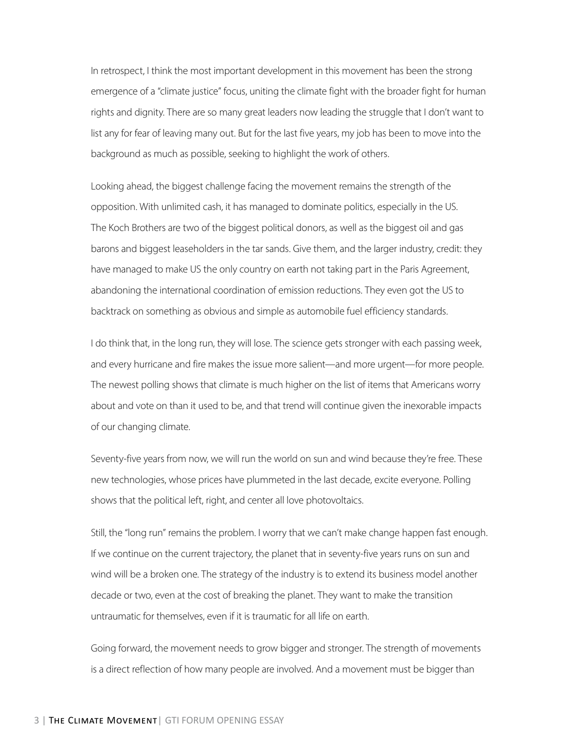In retrospect, I think the most important development in this movement has been the strong emergence of a "climate justice" focus, uniting the climate fight with the broader fight for human rights and dignity. There are so many great leaders now leading the struggle that I don't want to list any for fear of leaving many out. But for the last five years, my job has been to move into the background as much as possible, seeking to highlight the work of others.

Looking ahead, the biggest challenge facing the movement remains the strength of the opposition. With unlimited cash, it has managed to dominate politics, especially in the US. The Koch Brothers are two of the biggest political donors, as well as the biggest oil and gas barons and biggest leaseholders in the tar sands. Give them, and the larger industry, credit: they have managed to make US the only country on earth not taking part in the Paris Agreement, abandoning the international coordination of emission reductions. They even got the US to backtrack on something as obvious and simple as automobile fuel efficiency standards.

I do think that, in the long run, they will lose. The science gets stronger with each passing week, and every hurricane and fire makes the issue more salient—and more urgent—for more people. The newest polling shows that climate is much higher on the list of items that Americans worry about and vote on than it used to be, and that trend will continue given the inexorable impacts of our changing climate.

Seventy-five years from now, we will run the world on sun and wind because they're free. These new technologies, whose prices have plummeted in the last decade, excite everyone. Polling shows that the political left, right, and center all love photovoltaics.

Still, the "long run" remains the problem. I worry that we can't make change happen fast enough. If we continue on the current trajectory, the planet that in seventy-five years runs on sun and wind will be a broken one. The strategy of the industry is to extend its business model another decade or two, even at the cost of breaking the planet. They want to make the transition untraumatic for themselves, even if it is traumatic for all life on earth.

Going forward, the movement needs to grow bigger and stronger. The strength of movements is a direct reflection of how many people are involved. And a movement must be bigger than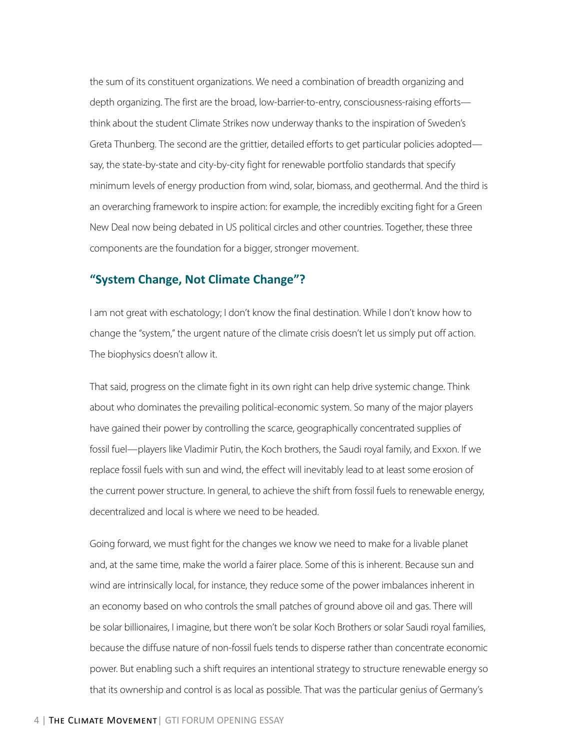the sum of its constituent organizations. We need a combination of breadth organizing and depth organizing. The first are the broad, low-barrier-to-entry, consciousness-raising efforts think about the student Climate Strikes now underway thanks to the inspiration of Sweden's Greta Thunberg. The second are the grittier, detailed efforts to get particular policies adopted say, the state-by-state and city-by-city fight for renewable portfolio standards that specify minimum levels of energy production from wind, solar, biomass, and geothermal. And the third is an overarching framework to inspire action: for example, the incredibly exciting fight for a Green New Deal now being debated in US political circles and other countries. Together, these three components are the foundation for a bigger, stronger movement.

#### **"System Change, Not Climate Change"?**

I am not great with eschatology; I don't know the final destination. While I don't know how to change the "system," the urgent nature of the climate crisis doesn't let us simply put off action. The biophysics doesn't allow it.

That said, progress on the climate fight in its own right can help drive systemic change. Think about who dominates the prevailing political-economic system. So many of the major players have gained their power by controlling the scarce, geographically concentrated supplies of fossil fuel—players like Vladimir Putin, the Koch brothers, the Saudi royal family, and Exxon. If we replace fossil fuels with sun and wind, the effect will inevitably lead to at least some erosion of the current power structure. In general, to achieve the shift from fossil fuels to renewable energy, decentralized and local is where we need to be headed.

Going forward, we must fight for the changes we know we need to make for a livable planet and, at the same time, make the world a fairer place. Some of this is inherent. Because sun and wind are intrinsically local, for instance, they reduce some of the power imbalances inherent in an economy based on who controls the small patches of ground above oil and gas. There will be solar billionaires, I imagine, but there won't be solar Koch Brothers or solar Saudi royal families, because the diffuse nature of non-fossil fuels tends to disperse rather than concentrate economic power. But enabling such a shift requires an intentional strategy to structure renewable energy so that its ownership and control is as local as possible. That was the particular genius of Germany's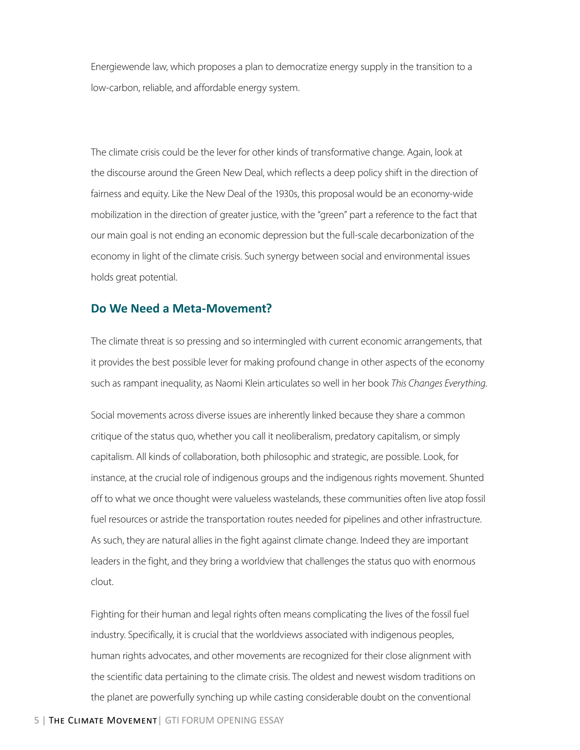Energiewende law, which proposes a plan to democratize energy supply in the transition to a low-carbon, reliable, and affordable energy system.

The climate crisis could be the lever for other kinds of transformative change. Again, look at the discourse around the Green New Deal, which reflects a deep policy shift in the direction of fairness and equity. Like the New Deal of the 1930s, this proposal would be an economy-wide mobilization in the direction of greater justice, with the "green" part a reference to the fact that our main goal is not ending an economic depression but the full-scale decarbonization of the economy in light of the climate crisis. Such synergy between social and environmental issues holds great potential.

#### **Do We Need a Meta-Movement?**

The climate threat is so pressing and so intermingled with current economic arrangements, that it provides the best possible lever for making profound change in other aspects of the economy such as rampant inequality, as Naomi Klein articulates so well in her book *This Changes Everything*.

Social movements across diverse issues are inherently linked because they share a common critique of the status quo, whether you call it neoliberalism, predatory capitalism, or simply capitalism. All kinds of collaboration, both philosophic and strategic, are possible. Look, for instance, at the crucial role of indigenous groups and the indigenous rights movement. Shunted off to what we once thought were valueless wastelands, these communities often live atop fossil fuel resources or astride the transportation routes needed for pipelines and other infrastructure. As such, they are natural allies in the fight against climate change. Indeed they are important leaders in the fight, and they bring a worldview that challenges the status quo with enormous clout.

Fighting for their human and legal rights often means complicating the lives of the fossil fuel industry. Specifically, it is crucial that the worldviews associated with indigenous peoples, human rights advocates, and other movements are recognized for their close alignment with the scientific data pertaining to the climate crisis. The oldest and newest wisdom traditions on the planet are powerfully synching up while casting considerable doubt on the conventional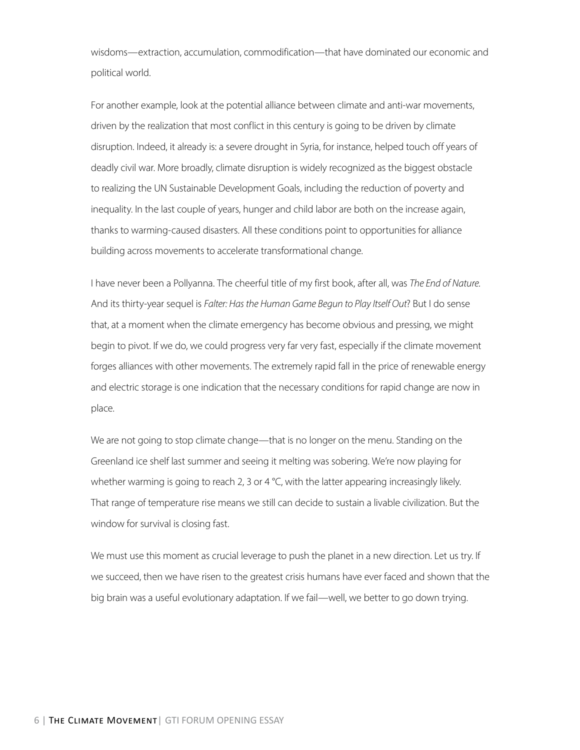wisdoms—extraction, accumulation, commodification—that have dominated our economic and political world.

For another example, look at the potential alliance between climate and anti-war movements, driven by the realization that most conflict in this century is going to be driven by climate disruption. Indeed, it already is: a severe drought in Syria, for instance, helped touch off years of deadly civil war. More broadly, climate disruption is widely recognized as the biggest obstacle to realizing the UN Sustainable Development Goals, including the reduction of poverty and inequality. In the last couple of years, hunger and child labor are both on the increase again, thanks to warming-caused disasters. All these conditions point to opportunities for alliance building across movements to accelerate transformational change.

I have never been a Pollyanna. The cheerful title of my first book, after all, was *The End of Nature*. And its thirty-year sequel is *Falter: Has the Human Game Begun to Play Itself Out*? But I do sense that, at a moment when the climate emergency has become obvious and pressing, we might begin to pivot. If we do, we could progress very far very fast, especially if the climate movement forges alliances with other movements. The extremely rapid fall in the price of renewable energy and electric storage is one indication that the necessary conditions for rapid change are now in place.

We are not going to stop climate change—that is no longer on the menu. Standing on the Greenland ice shelf last summer and seeing it melting was sobering. We're now playing for whether warming is going to reach 2, 3 or 4  $\degree$ C, with the latter appearing increasingly likely. That range of temperature rise means we still can decide to sustain a livable civilization. But the window for survival is closing fast.

We must use this moment as crucial leverage to push the planet in a new direction. Let us try. If we succeed, then we have risen to the greatest crisis humans have ever faced and shown that the big brain was a useful evolutionary adaptation. If we fail—well, we better to go down trying.